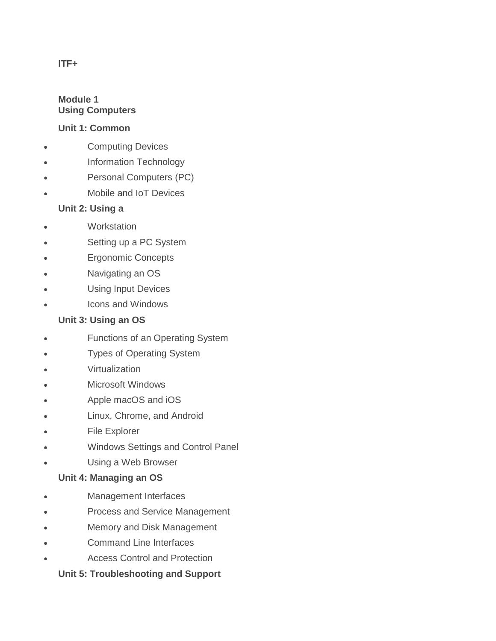# **ITF+**

### **Module 1 Using Computers**

### **Unit 1: Common**

- Computing Devices
- Information Technology
- Personal Computers (PC)
- Mobile and IoT Devices

## **Unit 2: Using a**

- Workstation
- Setting up a PC System
- Ergonomic Concepts
- Navigating an OS
- Using Input Devices
- Icons and Windows

### **Unit 3: Using an OS**

- Functions of an Operating System
- Types of Operating System
- **Virtualization**
- Microsoft Windows
- Apple macOS and iOS
- Linux, Chrome, and Android
- File Explorer
- Windows Settings and Control Panel
- Using a Web Browser

### **Unit 4: Managing an OS**

- Management Interfaces
- Process and Service Management
- Memory and Disk Management
- Command Line Interfaces
- Access Control and Protection

### **Unit 5: Troubleshooting and Support**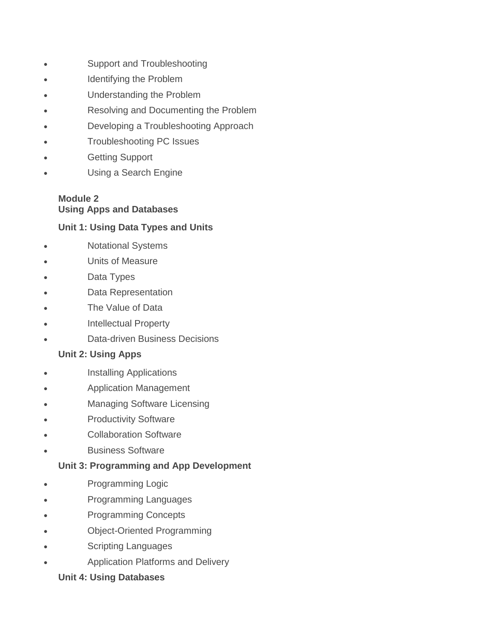- Support and Troubleshooting
- Identifying the Problem
- Understanding the Problem
- Resolving and Documenting the Problem
- Developing a Troubleshooting Approach
- Troubleshooting PC Issues
- Getting Support
- Using a Search Engine

# **Module 2 Using Apps and Databases**

### **Unit 1: Using Data Types and Units**

- Notational Systems
- Units of Measure
- Data Types
- Data Representation
- The Value of Data
- Intellectual Property
- Data-driven Business Decisions

### **Unit 2: Using Apps**

- Installing Applications
- Application Management
- Managing Software Licensing
- Productivity Software
- Collaboration Software
- Business Software

### **Unit 3: Programming and App Development**

- Programming Logic
- Programming Languages
- Programming Concepts
- Object-Oriented Programming
- Scripting Languages
- Application Platforms and Delivery

### **Unit 4: Using Databases**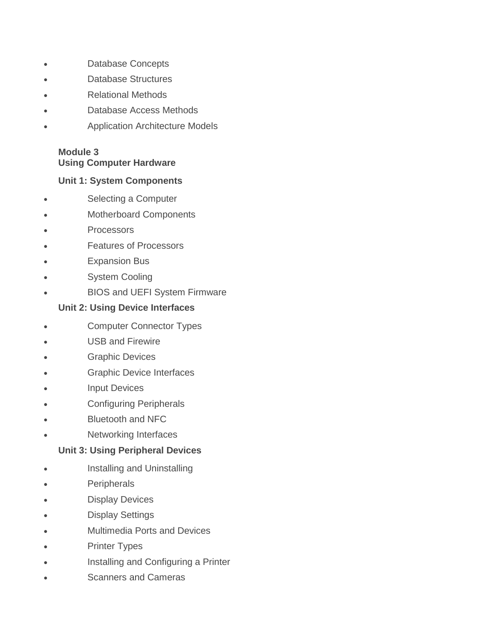- Database Concepts
- Database Structures
- Relational Methods
- Database Access Methods
- Application Architecture Models

### **Module 3 Using Computer Hardware**

### **Unit 1: System Components**

- Selecting a Computer
- Motherboard Components
- **Processors**
- Features of Processors
- Expansion Bus
- System Cooling
- BIOS and UEFI System Firmware

## **Unit 2: Using Device Interfaces**

- Computer Connector Types
- USB and Firewire
- Graphic Devices
- Graphic Device Interfaces
- Input Devices
- Configuring Peripherals
- Bluetooth and NFC
- Networking Interfaces

## **Unit 3: Using Peripheral Devices**

- **•** Installing and Uninstalling
- **Peripherals**
- Display Devices
- Display Settings
- Multimedia Ports and Devices
- Printer Types
- Installing and Configuring a Printer
- Scanners and Cameras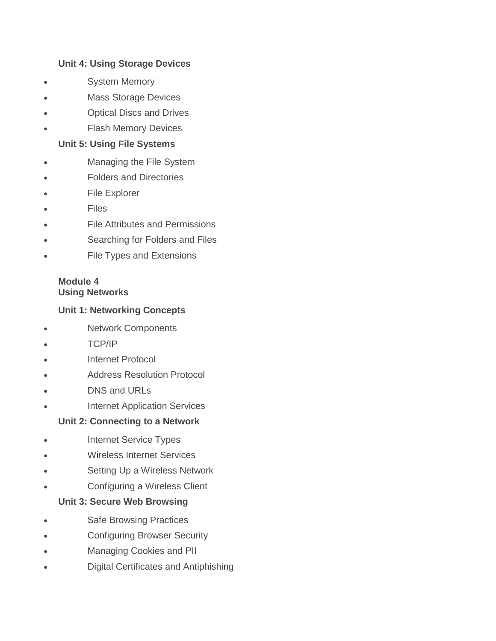## **Unit 4: Using Storage Devices**

- System Memory
- Mass Storage Devices
- Optical Discs and Drives
- Flash Memory Devices

### **Unit 5: Using File Systems**

- Managing the File System
- Folders and Directories
- File Explorer
- **Files**
- File Attributes and Permissions
- Searching for Folders and Files
- File Types and Extensions

## **Module 4 Using Networks**

## **Unit 1: Networking Concepts**

- Network Components
- TCP/IP
- Internet Protocol
- Address Resolution Protocol
- DNS and URLs
- Internet Application Services

### **Unit 2: Connecting to a Network**

- Internet Service Types
- Wireless Internet Services
- Setting Up a Wireless Network
- Configuring a Wireless Client

### **Unit 3: Secure Web Browsing**

- Safe Browsing Practices
- Configuring Browser Security
- Managing Cookies and PII
- Digital Certificates and Antiphishing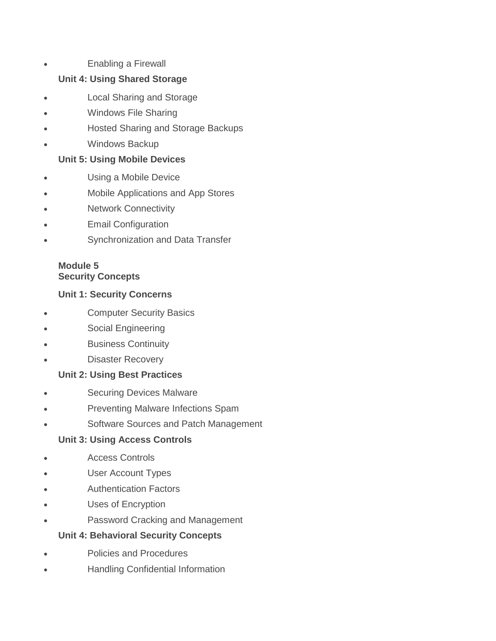Enabling a Firewall

## **Unit 4: Using Shared Storage**

- Local Sharing and Storage
- Windows File Sharing
- Hosted Sharing and Storage Backups
- Windows Backup

## **Unit 5: Using Mobile Devices**

- Using a Mobile Device
- Mobile Applications and App Stores
- Network Connectivity
- Email Configuration
- Synchronization and Data Transfer

## **Module 5 Security Concepts**

## **Unit 1: Security Concerns**

- Computer Security Basics
- Social Engineering
- Business Continuity
- Disaster Recovery

## **Unit 2: Using Best Practices**

- Securing Devices Malware
- Preventing Malware Infections Spam
- Software Sources and Patch Management

## **Unit 3: Using Access Controls**

- Access Controls
- User Account Types
- Authentication Factors
- Uses of Encryption
- Password Cracking and Management

## **Unit 4: Behavioral Security Concepts**

- Policies and Procedures
- Handling Confidential Information